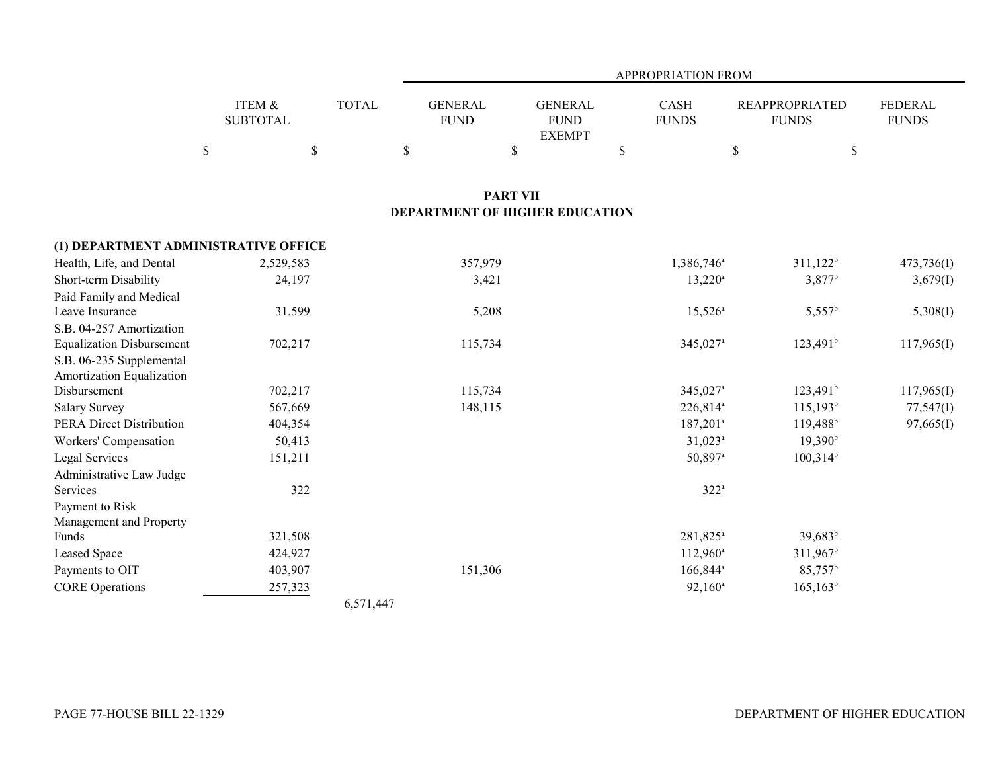|                                                         |                                                                                 | <b>APPROPRIATION FROM</b>                    |                                                                  |
|---------------------------------------------------------|---------------------------------------------------------------------------------|----------------------------------------------|------------------------------------------------------------------|
| ITEM &<br><b>TOTAL</b><br><b>SUBTOTAL</b>               | <b>GENERAL</b><br><b>GENERAL</b><br><b>FUND</b><br><b>FUND</b><br><b>EXEMPT</b> | CASH<br><b>FUNDS</b>                         | <b>REAPPROPRIATED</b><br>FEDERAL<br><b>FUNDS</b><br><b>FUNDS</b> |
| $\$$<br>$\mathbb S$                                     | \$<br>$\$$                                                                      | $\mathbb{S}$<br>$\$$                         | $\$$                                                             |
|                                                         | <b>PART VII</b>                                                                 |                                              |                                                                  |
|                                                         | <b>DEPARTMENT OF HIGHER EDUCATION</b>                                           |                                              |                                                                  |
| (1) DEPARTMENT ADMINISTRATIVE OFFICE                    |                                                                                 |                                              |                                                                  |
| Health, Life, and Dental<br>2,529,583                   | 357,979                                                                         | 1,386,746 <sup>a</sup>                       | $311,122^b$<br>473,736(I)                                        |
| Short-term Disability<br>24,197                         | 3,421                                                                           | $13,220^a$                                   | 3,877 <sup>b</sup><br>3,679(I)                                   |
| Paid Family and Medical                                 |                                                                                 |                                              |                                                                  |
| Leave Insurance<br>31,599                               | 5,208                                                                           | $15,526^{\circ}$                             | $5,557^b$<br>5,308(I)                                            |
| S.B. 04-257 Amortization                                |                                                                                 |                                              |                                                                  |
| <b>Equalization Disbursement</b><br>702,217             | 115,734                                                                         | 345,027 <sup>a</sup>                         | $123,491^b$<br>117,965(I)                                        |
| S.B. 06-235 Supplemental                                |                                                                                 |                                              |                                                                  |
| Amortization Equalization<br>Disbursement               |                                                                                 |                                              |                                                                  |
| 702,217<br>567,669                                      | 115,734                                                                         | 345,027 <sup>a</sup><br>226,814 <sup>a</sup> | $123,491^b$<br>117,965(I)<br>$115,193^b$                         |
| <b>Salary Survey</b><br><b>PERA Direct Distribution</b> | 148,115                                                                         | $187,201$ <sup>a</sup>                       | 77,547(1)<br>$119,488$ <sup>b</sup>                              |
| 404,354                                                 |                                                                                 | $31,023^a$                                   | 97,665(I)<br>19,390 <sup>b</sup>                                 |
| 50,413<br>Workers' Compensation                         |                                                                                 | 50,897 <sup>a</sup>                          | $100,314^b$                                                      |
| Legal Services<br>151,211<br>Administrative Law Judge   |                                                                                 |                                              |                                                                  |
| Services<br>322                                         |                                                                                 | $322^a$                                      |                                                                  |
| Payment to Risk                                         |                                                                                 |                                              |                                                                  |
| Management and Property                                 |                                                                                 |                                              |                                                                  |
| Funds<br>321,508                                        |                                                                                 | 281,825 <sup>a</sup>                         | $39,683^b$                                                       |
| Leased Space<br>424,927                                 |                                                                                 | $112,960^a$                                  | $311,967^b$                                                      |
| Payments to OIT<br>403,907                              | 151,306                                                                         | 166,844 <sup>a</sup>                         | 85,757 <sup>b</sup>                                              |
| <b>CORE</b> Operations<br>257,323                       |                                                                                 | $92,160^a$                                   | $165, 163^b$                                                     |

6,571,447

e de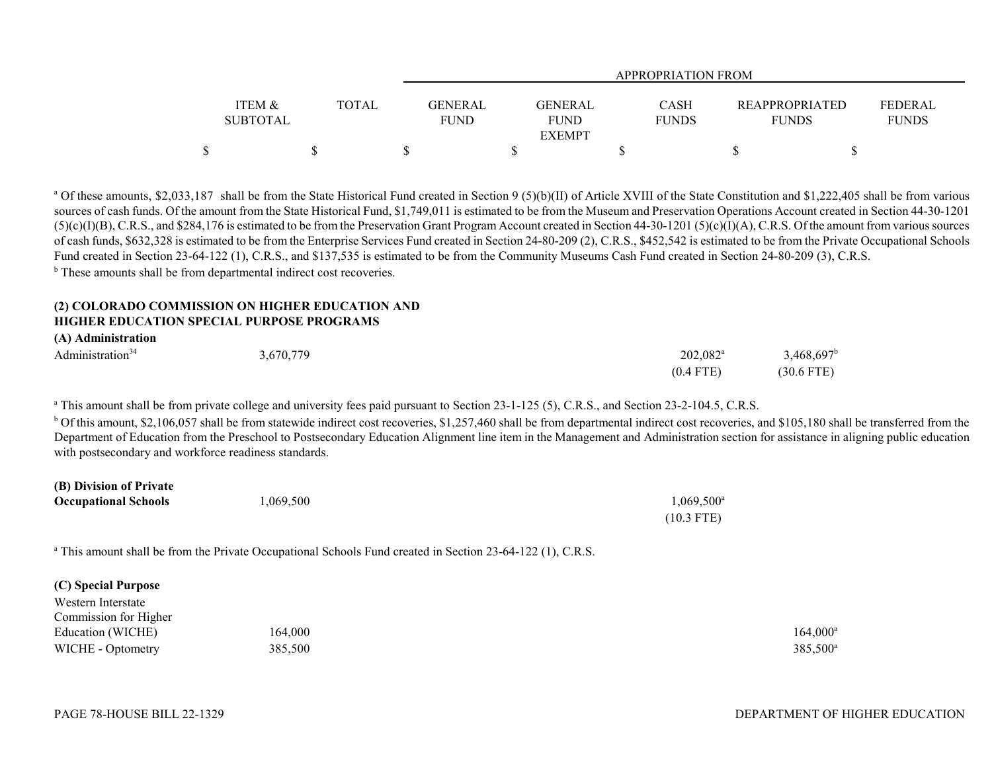|                   |              | APPROPRIATION FROM |                               |  |                                  |  |  |  |  |  |
|-------------------|--------------|--------------------|-------------------------------|--|----------------------------------|--|--|--|--|--|
| <b>ITEM &amp;</b> | <b>TOTAL</b> | <b>GENERAL</b>     | <b>GENERAL</b><br><b>CASH</b> |  | FEDERAL<br><b>REAPPROPRIATED</b> |  |  |  |  |  |
| <b>SUBTOTAL</b>   |              | <b>FUND</b>        | <b>FUND</b><br><b>FUNDS</b>   |  | <b>FUNDS</b><br><b>FUNDS</b>     |  |  |  |  |  |
|                   |              |                    | <b>EXEMPT</b>                 |  |                                  |  |  |  |  |  |
|                   |              |                    |                               |  |                                  |  |  |  |  |  |

<sup>a</sup> Of these amounts, \$2,033,187 shall be from the State Historical Fund created in Section 9 (5)(b)(II) of Article XVIII of the State Constitution and \$1,222,405 shall be from various sources of cash funds. Of the amount from the State Historical Fund, \$1,749,011 is estimated to be from the Museum and Preservation Operations Account created in Section 44-30-1201  $(5)(c)(I)(B)$ , C.R.S., and \$284,176 is estimated to be from the Preservation Grant Program Account created in Section 44-30-1201 ( $5)(c)(I)(A)$ , C.R.S. Of the amount from various sources of cash funds, \$632,328 is estimated to be from the Enterprise Services Fund created in Section 24-80-209 (2), C.R.S., \$452,542 is estimated to be from the Private Occupational Schools Fund created in Section 23-64-122 (1), C.R.S., and \$137,535 is estimated to be from the Community Museums Cash Fund created in Section 24-80-209 (3), C.R.S. <sup>b</sup> These amounts shall be from departmental indirect cost recoveries.

### **(2) COLORADO COMMISSION ON HIGHER EDUCATION AND HIGHER EDUCATION SPECIAL PURPOSE PROGRAMS**

**(A) Administration**

| Administration <sup>34</sup> | 3,670,779 | 202,082 <sup>a</sup> | $3,468,697$ <sup>b</sup> |
|------------------------------|-----------|----------------------|--------------------------|
|                              |           | $(0.4$ FTE)          | (30.6 FTE)               |

<sup>a</sup> This amount shall be from private college and university fees paid pursuant to Section 23-1-125 (5), C.R.S., and Section 23-2-104.5, C.R.S.

 $b$  Of this amount, \$2,106,057 shall be from statewide indirect cost recoveries, \$1,257,460 shall be from departmental indirect cost recoveries, and \$105,180 shall be transferred from the Department of Education from the Preschool to Postsecondary Education Alignment line item in the Management and Administration section for assistance in aligning public education with postsecondary and workforce readiness standards.

| $(D)$ <i>DIVISION</i> $U$ LIVAN |          |                     |
|---------------------------------|----------|---------------------|
| <b>Occupational Schools</b>     | ,069,500 | $1,069,500^{\circ}$ |
|                                 |          | (10.3 FTE)          |

<sup>a</sup> This amount shall be from the Private Occupational Schools Fund created in Section 23-64-122 (1), C.R.S.

## **(C) Special Purpose**

Western Interstate

**(B) Division of Private**

| 164,000 | $164.000^{\circ}$    |
|---------|----------------------|
| 385,500 | 385,500 <sup>a</sup> |
|         |                      |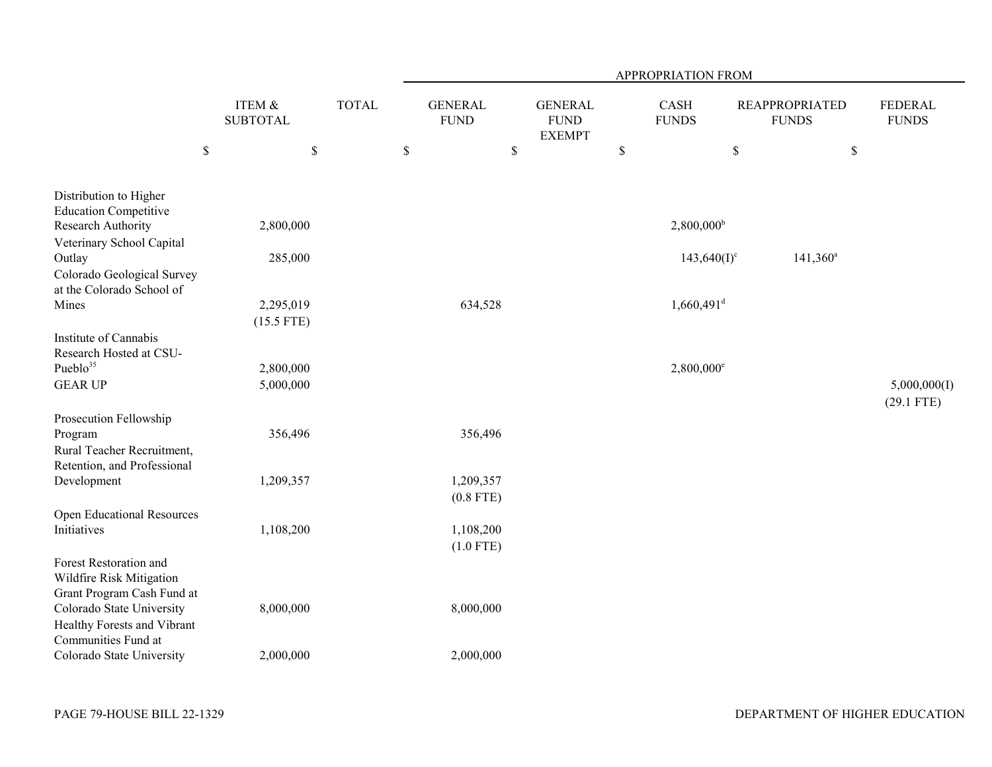|                                                                                                                                                                     |                           |              | APPROPRIATION FROM            |                                                |              |                          |                                       |                                |  |  |
|---------------------------------------------------------------------------------------------------------------------------------------------------------------------|---------------------------|--------------|-------------------------------|------------------------------------------------|--------------|--------------------------|---------------------------------------|--------------------------------|--|--|
|                                                                                                                                                                     | ITEM &<br><b>SUBTOTAL</b> | <b>TOTAL</b> | <b>GENERAL</b><br><b>FUND</b> | <b>GENERAL</b><br><b>FUND</b><br><b>EXEMPT</b> |              | CASH<br><b>FUNDS</b>     | <b>REAPPROPRIATED</b><br><b>FUNDS</b> | <b>FEDERAL</b><br><b>FUNDS</b> |  |  |
| $\boldsymbol{\mathbb{S}}$                                                                                                                                           | \$                        |              | $\$$                          | \$                                             | $\mathbb{S}$ | \$                       | $\$$                                  |                                |  |  |
| Distribution to Higher<br><b>Education Competitive</b><br>Research Authority                                                                                        | 2,800,000                 |              |                               |                                                |              | $2,800,000^{\rm b}$      |                                       |                                |  |  |
| Veterinary School Capital<br>Outlay                                                                                                                                 | 285,000                   |              |                               |                                                |              | $143,640(I)^c$           | $141,360^a$                           |                                |  |  |
| Colorado Geological Survey<br>at the Colorado School of<br>Mines                                                                                                    | 2,295,019                 |              | 634,528                       |                                                |              | $1,660,491$ <sup>d</sup> |                                       |                                |  |  |
|                                                                                                                                                                     | $(15.5$ FTE)              |              |                               |                                                |              |                          |                                       |                                |  |  |
| Institute of Cannabis<br>Research Hosted at CSU-<br>Pueblo <sup>35</sup><br><b>GEAR UP</b>                                                                          | 2,800,000<br>5,000,000    |              |                               |                                                |              | 2,800,000 <sup>e</sup>   |                                       | 5,000,000(I)                   |  |  |
| Prosecution Fellowship                                                                                                                                              |                           |              |                               |                                                |              |                          |                                       | $(29.1$ FTE)                   |  |  |
| Program<br>Rural Teacher Recruitment,<br>Retention, and Professional                                                                                                | 356,496                   |              | 356,496                       |                                                |              |                          |                                       |                                |  |  |
| Development                                                                                                                                                         | 1,209,357                 |              | 1,209,357<br>$(0.8$ FTE)      |                                                |              |                          |                                       |                                |  |  |
| <b>Open Educational Resources</b><br>Initiatives                                                                                                                    | 1,108,200                 |              | 1,108,200<br>$(1.0$ FTE)      |                                                |              |                          |                                       |                                |  |  |
| Forest Restoration and<br>Wildfire Risk Mitigation<br>Grant Program Cash Fund at<br>Colorado State University<br>Healthy Forests and Vibrant<br>Communities Fund at | 8,000,000                 |              | 8,000,000                     |                                                |              |                          |                                       |                                |  |  |
| Colorado State University                                                                                                                                           | 2,000,000                 |              | 2,000,000                     |                                                |              |                          |                                       |                                |  |  |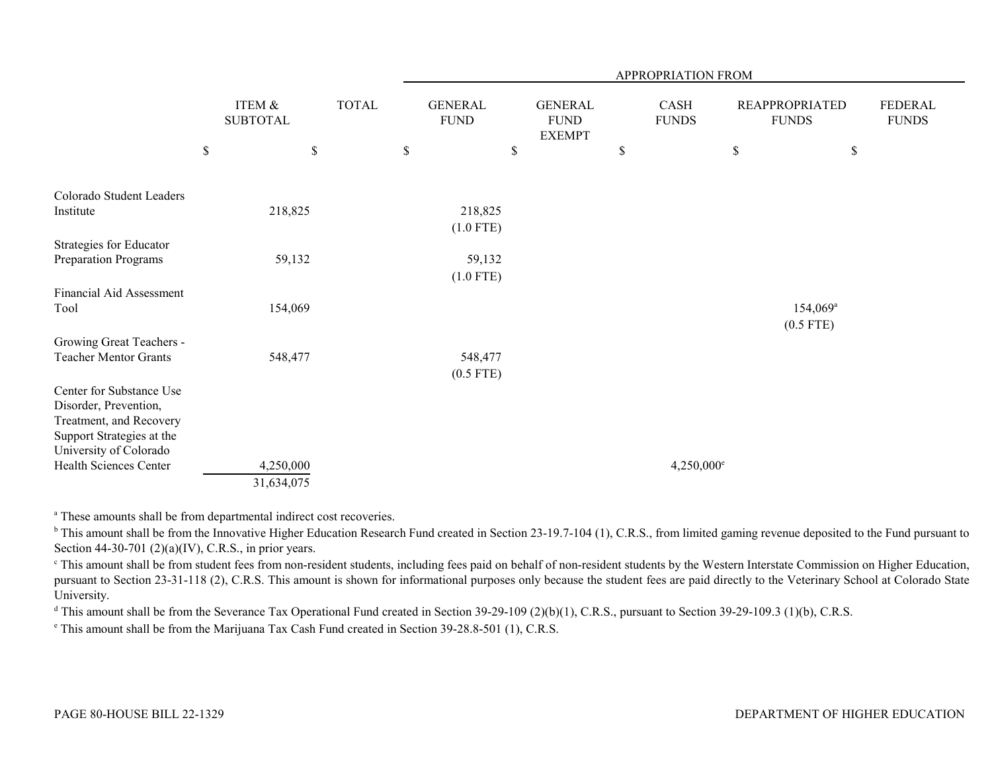|                                                                                                                                     |                           |              | APPROPRIATION FROM |                               |    |                                                |             |                      |      |                                       |                         |  |
|-------------------------------------------------------------------------------------------------------------------------------------|---------------------------|--------------|--------------------|-------------------------------|----|------------------------------------------------|-------------|----------------------|------|---------------------------------------|-------------------------|--|
|                                                                                                                                     | ITEM &<br><b>SUBTOTAL</b> | <b>TOTAL</b> |                    | <b>GENERAL</b><br><b>FUND</b> |    | <b>GENERAL</b><br><b>FUND</b><br><b>EXEMPT</b> |             | CASH<br><b>FUNDS</b> |      | <b>REAPPROPRIATED</b><br><b>FUNDS</b> | FEDERAL<br><b>FUNDS</b> |  |
|                                                                                                                                     | \$<br>$\$$                |              | $\$$               |                               | \$ |                                                | $\mathbb S$ |                      | $\$$ |                                       | \$                      |  |
| Colorado Student Leaders                                                                                                            |                           |              |                    |                               |    |                                                |             |                      |      |                                       |                         |  |
| Institute                                                                                                                           | 218,825                   |              |                    | 218,825<br>$(1.0$ FTE)        |    |                                                |             |                      |      |                                       |                         |  |
| Strategies for Educator<br>Preparation Programs                                                                                     | 59,132                    |              |                    | 59,132<br>$(1.0$ FTE)         |    |                                                |             |                      |      |                                       |                         |  |
| Financial Aid Assessment<br>Tool                                                                                                    | 154,069                   |              |                    |                               |    |                                                |             |                      |      | 154,069 <sup>a</sup><br>$(0.5$ FTE)   |                         |  |
| Growing Great Teachers -<br><b>Teacher Mentor Grants</b>                                                                            | 548,477                   |              |                    | 548,477<br>$(0.5$ FTE)        |    |                                                |             |                      |      |                                       |                         |  |
| Center for Substance Use<br>Disorder, Prevention,<br>Treatment, and Recovery<br>Support Strategies at the<br>University of Colorado |                           |              |                    |                               |    |                                                |             |                      |      |                                       |                         |  |
| Health Sciences Center                                                                                                              | 4,250,000<br>31,634,075   |              |                    |                               |    |                                                |             | $4,250,000^{\circ}$  |      |                                       |                         |  |

a These amounts shall be from departmental indirect cost recoveries.

<sup>b</sup> This amount shall be from the Innovative Higher Education Research Fund created in Section 23-19.7-104 (1), C.R.S., from limited gaming revenue deposited to the Fund pursuant to Section 44-30-701 (2)(a)(IV), C.R.S., in prior years.

<sup>c</sup> This amount shall be from student fees from non-resident students, including fees paid on behalf of non-resident students by the Western Interstate Commission on Higher Education, pursuant to Section 23-31-118 (2), C.R.S. This amount is shown for informational purposes only because the student fees are paid directly to the Veterinary School at Colorado State University.

 $^d$  This amount shall be from the Severance Tax Operational Fund created in Section 39-29-109 (2)(b)(1), C.R.S., pursuant to Section 39-29-109.3 (1)(b), C.R.S.

e This amount shall be from the Marijuana Tax Cash Fund created in Section 39-28.8-501 (1), C.R.S.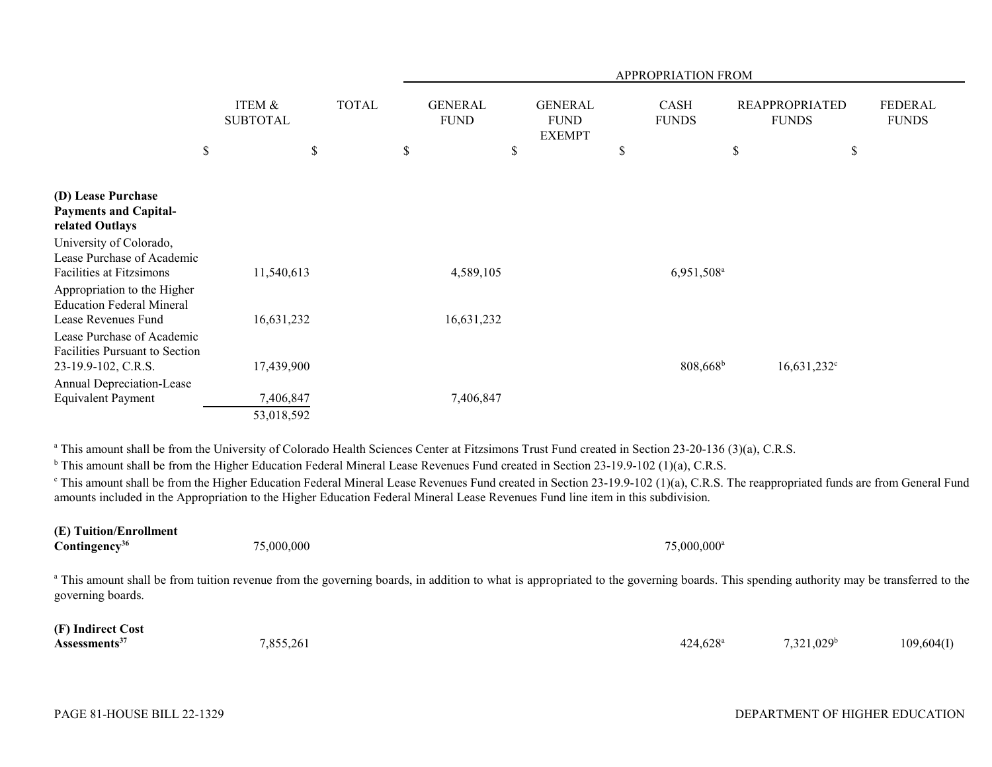|                                                                                                                                                                   |                           |              |                               |                                                | APPROPRIATION FROM   |                                       |                         |
|-------------------------------------------------------------------------------------------------------------------------------------------------------------------|---------------------------|--------------|-------------------------------|------------------------------------------------|----------------------|---------------------------------------|-------------------------|
|                                                                                                                                                                   | ITEM &<br><b>SUBTOTAL</b> | <b>TOTAL</b> | <b>GENERAL</b><br><b>FUND</b> | <b>GENERAL</b><br><b>FUND</b><br><b>EXEMPT</b> | CASH<br><b>FUNDS</b> | <b>REAPPROPRIATED</b><br><b>FUNDS</b> | FEDERAL<br><b>FUNDS</b> |
| \$                                                                                                                                                                |                           | \$           | \$                            | \$                                             | \$                   | \$<br>\$                              |                         |
| (D) Lease Purchase<br><b>Payments and Capital-</b><br>related Outlays<br>University of Colorado,<br>Lease Purchase of Academic<br><b>Facilities at Fitzsimons</b> | 11,540,613                |              | 4,589,105                     |                                                | $6,951,508^{\circ}$  |                                       |                         |
| Appropriation to the Higher<br><b>Education Federal Mineral</b><br>Lease Revenues Fund<br>Lease Purchase of Academic                                              | 16,631,232                |              | 16,631,232                    |                                                |                      |                                       |                         |
| Facilities Pursuant to Section<br>23-19.9-102, C.R.S.                                                                                                             | 17,439,900                |              |                               |                                                | $808,668^{\rm b}$    | $16,631,232$ <sup>c</sup>             |                         |
| Annual Depreciation-Lease<br><b>Equivalent Payment</b>                                                                                                            | 7,406,847<br>53,018,592   |              | 7,406,847                     |                                                |                      |                                       |                         |

<sup>a</sup> This amount shall be from the University of Colorado Health Sciences Center at Fitzsimons Trust Fund created in Section 23-20-136 (3)(a), C.R.S.

<sup>b</sup> This amount shall be from the Higher Education Federal Mineral Lease Revenues Fund created in Section 23-19.9-102 (1)(a), C.R.S.

<sup>c</sup> This amount shall be from the Higher Education Federal Mineral Lease Revenues Fund created in Section 23-19.9-102 (1)(a), C.R.S. The reappropriated funds are from General Fund amounts included in the Appropriation to the Higher Education Federal Mineral Lease Revenues Fund line item in this subdivision.

| (E) Tuition/Enrollment<br>Contingency <sup>36</sup> | 75,000,000                                                                                                                                                                                       | 75,000,000 <sup>a</sup> |                     |            |
|-----------------------------------------------------|--------------------------------------------------------------------------------------------------------------------------------------------------------------------------------------------------|-------------------------|---------------------|------------|
| governing boards.                                   | <sup>a</sup> This amount shall be from tuition revenue from the governing boards, in addition to what is appropriated to the governing boards. This spending authority may be transferred to the |                         |                     |            |
| (F) Indirect Cost<br>Assessments <sup>37</sup>      | 7,855,261                                                                                                                                                                                        | $424.628$ <sup>a</sup>  | $7,321,029^{\circ}$ | 109,604(I) |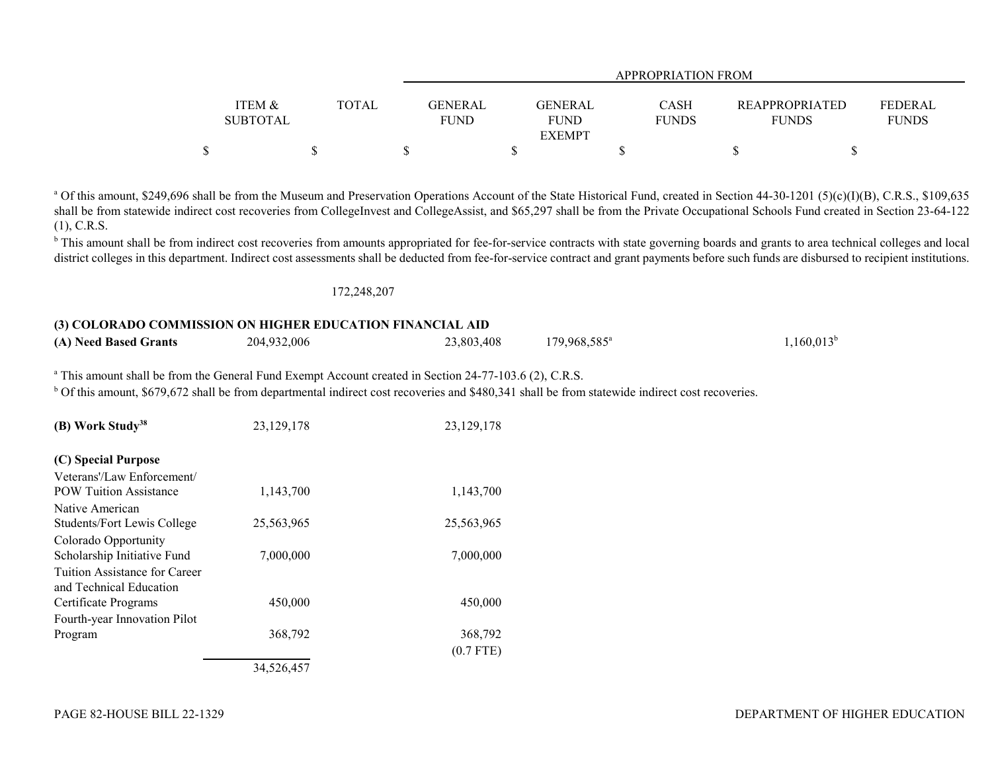|                 |       |             | <b>APPROPRIATION FROM</b> |              |                       |                |  |  |  |  |  |
|-----------------|-------|-------------|---------------------------|--------------|-----------------------|----------------|--|--|--|--|--|
|                 |       |             |                           |              |                       |                |  |  |  |  |  |
| ITEM &          | TOTAL | GENERAL     | GENERAL                   | <b>CASH</b>  | <b>REAPPROPRIATED</b> | <b>FEDERAL</b> |  |  |  |  |  |
| <b>SUBTOTAL</b> |       | <b>FUND</b> | <b>FUND</b>               | <b>FUNDS</b> | <b>FUNDS</b>          | <b>FUNDS</b>   |  |  |  |  |  |
|                 |       |             | <b>EXEMPT</b>             |              |                       |                |  |  |  |  |  |
|                 |       |             |                           |              |                       |                |  |  |  |  |  |

<sup>a</sup> Of this amount, \$249,696 shall be from the Museum and Preservation Operations Account of the State Historical Fund, created in Section 44-30-1201 (5)(c)(I)(B), C.R.S., \$109,635 shall be from statewide indirect cost recoveries from CollegeInvest and CollegeAssist, and \$65,297 shall be from the Private Occupational Schools Fund created in Section 23-64-122 (1), C.R.S.

<sup>b</sup> This amount shall be from indirect cost recoveries from amounts appropriated for fee-for-service contracts with state governing boards and grants to area technical colleges and local district colleges in this department. Indirect cost assessments shall be deducted from fee-for-service contract and grant payments before such funds are disbursed to recipient institutions.

### 172,248,207

## **(3) COLORADO COMMISSION ON HIGHER EDUCATION FINANCIAL AID (A) Need Based Grants** 204,932,006 23,803,408 179,968,585<sup>a</sup> 1,160,013<sup>b</sup> 1,160,013<sup>b</sup>

<sup>a</sup> This amount shall be from the General Fund Exempt Account created in Section 24-77-103.6 (2), C.R.S.

<sup>b</sup> Of this amount, \$679,672 shall be from departmental indirect cost recoveries and \$480,341 shall be from statewide indirect cost recoveries.

| (B) Work Study <sup>38</sup>                             | 23,129,178 | 23, 129, 178 |
|----------------------------------------------------------|------------|--------------|
| (C) Special Purpose                                      |            |              |
| Veterans'/Law Enforcement/                               |            |              |
| <b>POW Tuition Assistance</b>                            | 1,143,700  | 1,143,700    |
| Native American                                          |            |              |
| Students/Fort Lewis College                              | 25,563,965 | 25,563,965   |
| Colorado Opportunity                                     |            |              |
| Scholarship Initiative Fund                              | 7,000,000  | 7,000,000    |
| Tuition Assistance for Career<br>and Technical Education |            |              |
| Certificate Programs                                     | 450,000    | 450,000      |
| Fourth-year Innovation Pilot                             |            |              |
| Program                                                  | 368,792    | 368,792      |
|                                                          |            | $(0.7$ FTE)  |
|                                                          | 34,526,457 |              |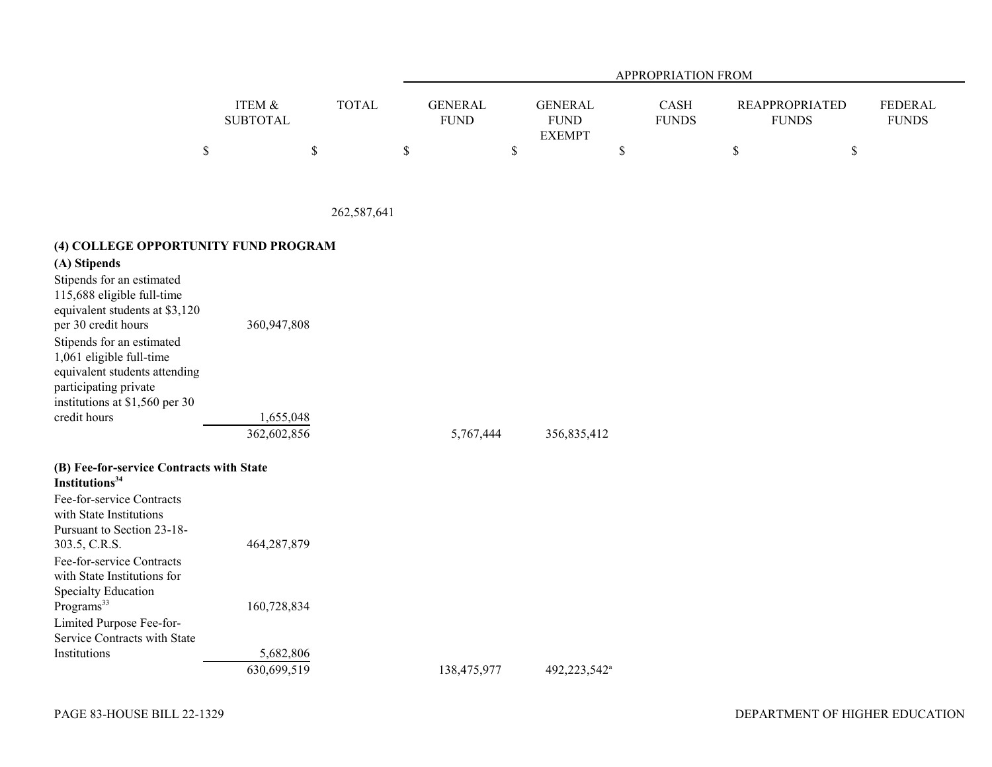|                   |              | APPROPRIATION FROM |                |              |                       |                |  |  |  |  |
|-------------------|--------------|--------------------|----------------|--------------|-----------------------|----------------|--|--|--|--|
|                   |              |                    |                |              |                       |                |  |  |  |  |
| <b>ITEM &amp;</b> | <b>TOTAL</b> | GENERAL            | <b>GENERAL</b> | <b>CASH</b>  | <b>REAPPROPRIATED</b> | <b>FEDERAL</b> |  |  |  |  |
| <b>SUBTOTAL</b>   |              | <b>FUND</b>        | <b>FUND</b>    | <b>FUNDS</b> | <b>FUNDS</b>          | <b>FUNDS</b>   |  |  |  |  |
|                   |              |                    | <b>EXEMPT</b>  |              |                       |                |  |  |  |  |
|                   |              |                    |                |              |                       |                |  |  |  |  |

262,587,641

# **(4) COLLEGE OPPORTUNITY FUND PROGRAM**

| (A) Stipends                                                                                                                                      |                          |           |             |
|---------------------------------------------------------------------------------------------------------------------------------------------------|--------------------------|-----------|-------------|
| Stipends for an estimated<br>115,688 eligible full-time<br>equivalent students at \$3,120<br>per 30 credit hours                                  | 360,947,808              |           |             |
| Stipends for an estimated<br>1,061 eligible full-time<br>equivalent students attending<br>participating private<br>institutions at \$1,560 per 30 |                          |           |             |
| credit hours                                                                                                                                      | 1,655,048<br>362,602,856 | 5,767,444 | 356,835,412 |

| (B) Fee-for-service Contracts with State<br>Institutions $34$ |             |             |                          |
|---------------------------------------------------------------|-------------|-------------|--------------------------|
| Fee-for-service Contracts                                     |             |             |                          |
| with State Institutions<br>Pursuant to Section 23-18-         |             |             |                          |
|                                                               |             |             |                          |
| 303.5, C.R.S.                                                 | 464,287,879 |             |                          |
| Fee-for-service Contracts                                     |             |             |                          |
| with State Institutions for                                   |             |             |                          |
| Specialty Education                                           |             |             |                          |
| Programs <sup>33</sup>                                        | 160,728,834 |             |                          |
| Limited Purpose Fee-for-                                      |             |             |                          |
| Service Contracts with State                                  |             |             |                          |
| Institutions                                                  | 5,682,806   |             |                          |
|                                                               | 630,699,519 | 138,475,977 | 492.223.542 <sup>a</sup> |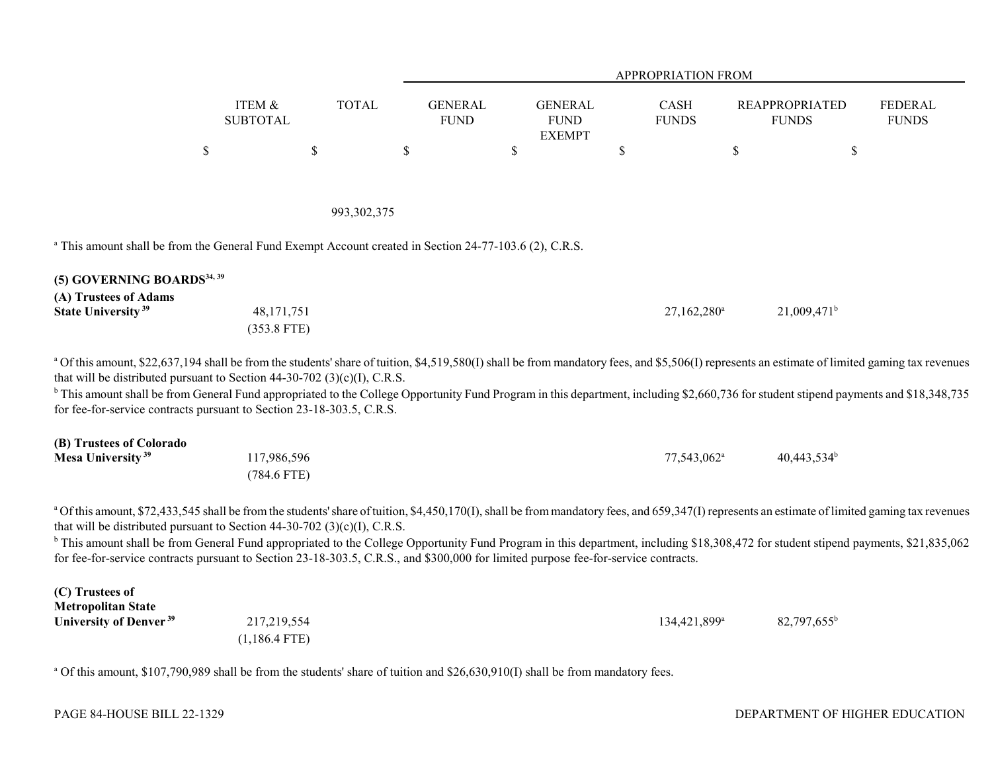|                                                                                                                                                                                                                                                                                                                                                                                                                                                                                                                                                         |                              |               |                               |                                                | <b>APPROPRIATION FROM</b> |                         |                                       |                                |
|---------------------------------------------------------------------------------------------------------------------------------------------------------------------------------------------------------------------------------------------------------------------------------------------------------------------------------------------------------------------------------------------------------------------------------------------------------------------------------------------------------------------------------------------------------|------------------------------|---------------|-------------------------------|------------------------------------------------|---------------------------|-------------------------|---------------------------------------|--------------------------------|
|                                                                                                                                                                                                                                                                                                                                                                                                                                                                                                                                                         | ITEM &<br><b>SUBTOTAL</b>    | <b>TOTAL</b>  | <b>GENERAL</b><br><b>FUND</b> | <b>GENERAL</b><br><b>FUND</b><br><b>EXEMPT</b> | CASH<br><b>FUNDS</b>      |                         | <b>REAPPROPRIATED</b><br><b>FUNDS</b> | <b>FEDERAL</b><br><b>FUNDS</b> |
|                                                                                                                                                                                                                                                                                                                                                                                                                                                                                                                                                         | $\$$                         | $\$$          | $\mathbb S$                   | \$                                             | $\$$                      | $\$$                    | \$                                    |                                |
|                                                                                                                                                                                                                                                                                                                                                                                                                                                                                                                                                         |                              | 993, 302, 375 |                               |                                                |                           |                         |                                       |                                |
| <sup>a</sup> This amount shall be from the General Fund Exempt Account created in Section 24-77-103.6 (2), C.R.S.                                                                                                                                                                                                                                                                                                                                                                                                                                       |                              |               |                               |                                                |                           |                         |                                       |                                |
| (5) GOVERNING BOARDS <sup>34, 39</sup><br>(A) Trustees of Adams<br>State University <sup>39</sup>                                                                                                                                                                                                                                                                                                                                                                                                                                                       | 48,171,751<br>$(353.8$ FTE)  |               |                               |                                                |                           | 27,162,280 <sup>a</sup> | $21,009,471$ <sup>b</sup>             |                                |
| a Of this amount, \$22,637,194 shall be from the students' share of tuition, \$4,519,580(I) shall be from mandatory fees, and \$5,506(I) represents an estimate of limited gaming tax revenues<br>that will be distributed pursuant to Section 44-30-702 (3)(c)(I), C.R.S.<br><sup>b</sup> This amount shall be from General Fund appropriated to the College Opportunity Fund Program in this department, including \$2,660,736 for student stipend payments and \$18,348,735<br>for fee-for-service contracts pursuant to Section 23-18-303.5, C.R.S. |                              |               |                               |                                                |                           |                         |                                       |                                |
| (B) Trustees of Colorado<br>Mesa University <sup>39</sup>                                                                                                                                                                                                                                                                                                                                                                                                                                                                                               | 117,986,596<br>$(784.6$ FTE) |               |                               |                                                |                           | 77,543,062 <sup>a</sup> | $40,443,534^b$                        |                                |
| a Of this amount, \$72,433,545 shall be from the students' share of tuition, \$4,450,170(I), shall be from mandatory fees, and 659,347(I) represents an estimate of limited gaming tax revenues                                                                                                                                                                                                                                                                                                                                                         |                              |               |                               |                                                |                           |                         |                                       |                                |

that will be distributed pursuant to Section 44-30-702 (3)(c)(I), C.R.S.

<sup>b</sup> This amount shall be from General Fund appropriated to the College Opportunity Fund Program in this department, including \$18,308,472 for student stipend payments, \$21,835,062 for fee-for-service contracts pursuant to Section 23-18-303.5, C.R.S., and \$300,000 for limited purpose fee-for-service contracts.

| (C) Trustees of                    |                 |                          |                      |
|------------------------------------|-----------------|--------------------------|----------------------|
| <b>Metropolitan State</b>          |                 |                          |                      |
| University of Denver <sup>39</sup> | 217,219,554     | 134,421,899 <sup>a</sup> | $82,797,655^{\rm b}$ |
|                                    | $(1,186.4$ FTE) |                          |                      |

<sup>a</sup> Of this amount, \$107,790,989 shall be from the students' share of tuition and \$26,630,910(I) shall be from mandatory fees.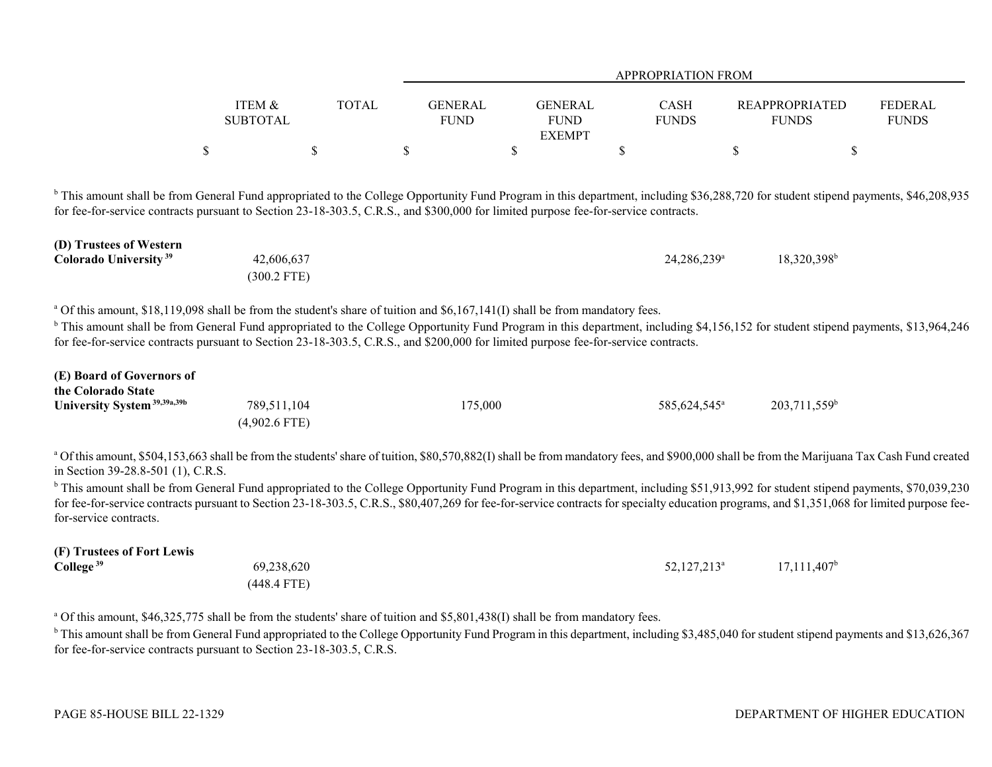|                                                                                                                                                                                                                                                                                                                                                                                                                                                                                                                                                                                                                                                               |                                |              |                               | APPROPRIATION FROM                             |                          |                                       |                                |  |  |  |  |  |
|---------------------------------------------------------------------------------------------------------------------------------------------------------------------------------------------------------------------------------------------------------------------------------------------------------------------------------------------------------------------------------------------------------------------------------------------------------------------------------------------------------------------------------------------------------------------------------------------------------------------------------------------------------------|--------------------------------|--------------|-------------------------------|------------------------------------------------|--------------------------|---------------------------------------|--------------------------------|--|--|--|--|--|
|                                                                                                                                                                                                                                                                                                                                                                                                                                                                                                                                                                                                                                                               | ITEM &<br><b>SUBTOTAL</b>      | <b>TOTAL</b> | <b>GENERAL</b><br><b>FUND</b> | <b>GENERAL</b><br><b>FUND</b><br><b>EXEMPT</b> | CASH<br><b>FUNDS</b>     | <b>REAPPROPRIATED</b><br><b>FUNDS</b> | <b>FEDERAL</b><br><b>FUNDS</b> |  |  |  |  |  |
|                                                                                                                                                                                                                                                                                                                                                                                                                                                                                                                                                                                                                                                               | \$                             | \$           | $\$$                          | \$                                             | $\mathbb S$              | \$                                    | \$                             |  |  |  |  |  |
| <sup>b</sup> This amount shall be from General Fund appropriated to the College Opportunity Fund Program in this department, including \$36,288,720 for student stipend payments, \$46,208,935<br>for fee-for-service contracts pursuant to Section 23-18-303.5, C.R.S., and \$300,000 for limited purpose fee-for-service contracts.                                                                                                                                                                                                                                                                                                                         |                                |              |                               |                                                |                          |                                       |                                |  |  |  |  |  |
| (D) Trustees of Western<br><b>Colorado University</b> <sup>39</sup>                                                                                                                                                                                                                                                                                                                                                                                                                                                                                                                                                                                           | 42,606,637<br>$(300.2$ FTE)    |              |                               |                                                | 24,286,239 <sup>a</sup>  | $18,320,398^b$                        |                                |  |  |  |  |  |
| <sup>a</sup> Of this amount, \$18,119,098 shall be from the student's share of tuition and \$6,167,141(I) shall be from mandatory fees.<br><sup>b</sup> This amount shall be from General Fund appropriated to the College Opportunity Fund Program in this department, including \$4,156,152 for student stipend payments, \$13,964,246<br>for fee-for-service contracts pursuant to Section 23-18-303.5, C.R.S., and \$200,000 for limited purpose fee-for-service contracts.                                                                                                                                                                               |                                |              |                               |                                                |                          |                                       |                                |  |  |  |  |  |
| (E) Board of Governors of<br>the Colorado State<br>University System <sup>39,39a,39b</sup>                                                                                                                                                                                                                                                                                                                                                                                                                                                                                                                                                                    | 789,511,104<br>$(4,902.6$ FTE) |              | 175,000                       |                                                | 585,624,545 <sup>a</sup> | $203,711,559^b$                       |                                |  |  |  |  |  |
| a Of this amount, \$504,153,663 shall be from the students' share of tuition, \$80,570,882(I) shall be from mandatory fees, and \$900,000 shall be from the Marijuana Tax Cash Fund created<br>in Section 39-28.8-501 (1), C.R.S.<br><sup>b</sup> This amount shall be from General Fund appropriated to the College Opportunity Fund Program in this department, including \$51,913,992 for student stipend payments, \$70,039,230<br>for fee-for-service contracts pursuant to Section 23-18-303.5, C.R.S., \$80,407,269 for fee-for-service contracts for specialty education programs, and \$1,351,068 for limited purpose fee-<br>for-service contracts. |                                |              |                               |                                                |                          |                                       |                                |  |  |  |  |  |
| (F) Trustees of Fort Lewis<br>College $39$                                                                                                                                                                                                                                                                                                                                                                                                                                                                                                                                                                                                                    | 69,238,620<br>$(448.4$ FTE)    |              |                               |                                                | 52,127,213 <sup>a</sup>  | $17,111,407^b$                        |                                |  |  |  |  |  |

<sup>a</sup> Of this amount, \$46,325,775 shall be from the students' share of tuition and \$5,801,438(I) shall be from mandatory fees.

<sup>b</sup> This amount shall be from General Fund appropriated to the College Opportunity Fund Program in this department, including \$3,485,040 for student stipend payments and \$13,626,367 for fee-for-service contracts pursuant to Section 23-18-303.5, C.R.S.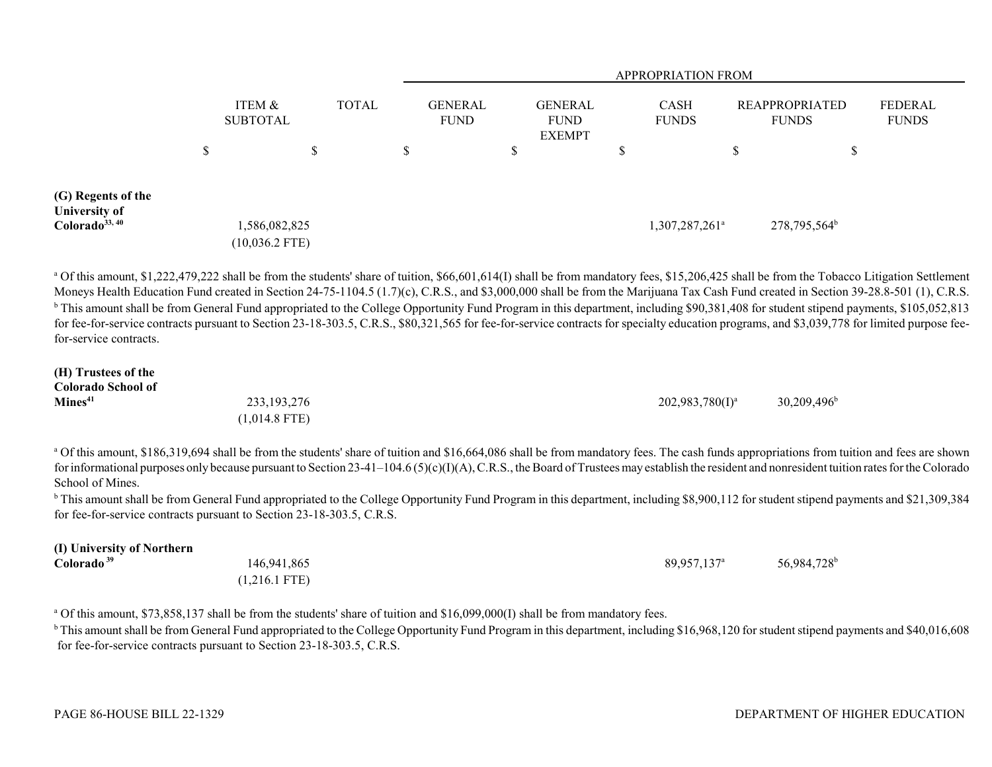|                                                                   |          |                                   |               | <b>APPROPRIATION FROM</b> |   |                                                |                             |                                       |                          |                                |  |  |
|-------------------------------------------------------------------|----------|-----------------------------------|---------------|---------------------------|---|------------------------------------------------|-----------------------------|---------------------------------------|--------------------------|--------------------------------|--|--|
|                                                                   |          | ITEM &<br><b>SUBTOTAL</b>         | TOTAL         |                           |   | <b>GENERAL</b><br><b>FUND</b><br><b>EXEMPT</b> | <b>CASH</b><br><b>FUNDS</b> | <b>REAPPROPRIATED</b><br><b>FUNDS</b> |                          | <b>FEDERAL</b><br><b>FUNDS</b> |  |  |
|                                                                   | ــه<br>D | $\triangle$<br>۰D                 | <sup>\$</sup> |                           | D |                                                |                             | Φ                                     | D                        |                                |  |  |
| (G) Regents of the<br>University of<br>Colorado <sup>33, 40</sup> |          | 1,586,082,825<br>$(10,036.2$ FTE) |               |                           |   |                                                | 1,307,287,261 <sup>a</sup>  |                                       | 278,795,564 <sup>b</sup> |                                |  |  |

<sup>a</sup> Of this amount, \$1,222,479,222 shall be from the students' share of tuition, \$66,601,614(I) shall be from mandatory fees, \$15,206,425 shall be from the Tobacco Litigation Settlement Moneys Health Education Fund created in Section 24-75-1104.5 (1.7)(c), C.R.S., and \$3,000,000 shall be from the Marijuana Tax Cash Fund created in Section 39-28.8-501 (1), C.R.S. <sup>b</sup> This amount shall be from General Fund appropriated to the College Opportunity Fund Program in this department, including \$90,381,408 for student stipend payments, \$105,052,813 for fee-for-service contracts pursuant to Section 23-18-303.5, C.R.S., \$80,321,565 for fee-for-service contracts for specialty education programs, and \$3,039,778 for limited purpose feefor-service contracts.

| (H) Trustees of the       |                 |                    |                      |
|---------------------------|-----------------|--------------------|----------------------|
| <b>Colorado School of</b> |                 |                    |                      |
| Mines <sup>41</sup>       | 233, 193, 276   | $202,983,780(1)^a$ | $30,209,496^{\rm b}$ |
|                           | $(1,014.8$ FTE) |                    |                      |

<sup>a</sup> Of this amount, \$186,319,694 shall be from the students' share of tuition and \$16,664,086 shall be from mandatory fees. The cash funds appropriations from tuition and fees are shown for informational purposes only because pursuant to Section 23-41–104.6 (5)(c)(I)(A), C.R.S., the Board of Trustees may establish the resident and nonresident tuition rates for the Colorado School of Mines.

<sup>b</sup> This amount shall be from General Fund appropriated to the College Opportunity Fund Program in this department, including \$8,900,112 for student stipend payments and \$21,309,384 for fee-for-service contracts pursuant to Section 23-18-303.5, C.R.S.

| (I) University of Northern |                         |                           |                         |
|----------------------------|-------------------------|---------------------------|-------------------------|
| Colorado <sup>39</sup>     | 146,941,865             | $89,957,137$ <sup>a</sup> | 56,984,728 <sup>b</sup> |
|                            | $(1.216.1 \text{ FTE})$ |                           |                         |

<sup>a</sup> Of this amount, \$73,858,137 shall be from the students' share of tuition and \$16,099,000(I) shall be from mandatory fees.

<sup>b</sup> This amount shall be from General Fund appropriated to the College Opportunity Fund Program in this department, including \$16,968,120 for student stipend payments and \$40,016,608 for fee-for-service contracts pursuant to Section 23-18-303.5, C.R.S.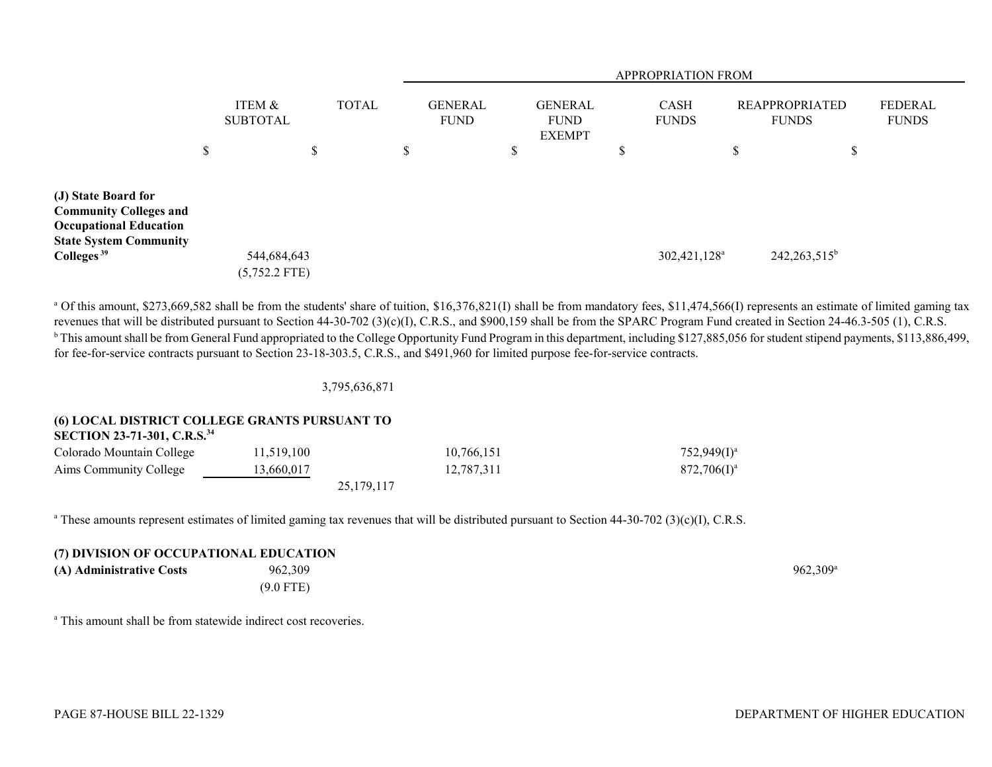|                                                                                                                        |                                |    |              |               | <b>APPROPRIATION FROM</b>     |    |                                                |                             |                          |                                       |                 |                                |
|------------------------------------------------------------------------------------------------------------------------|--------------------------------|----|--------------|---------------|-------------------------------|----|------------------------------------------------|-----------------------------|--------------------------|---------------------------------------|-----------------|--------------------------------|
|                                                                                                                        | ITEM &<br><b>SUBTOTAL</b>      |    | <b>TOTAL</b> |               | <b>GENERAL</b><br><b>FUND</b> |    | <b>GENERAL</b><br><b>FUND</b><br><b>EXEMPT</b> | <b>CASH</b><br><b>FUNDS</b> |                          | <b>REAPPROPRIATED</b><br><b>FUNDS</b> |                 | <b>FEDERAL</b><br><b>FUNDS</b> |
|                                                                                                                        | \$                             | \$ |              | <sup>\$</sup> |                               | \$ |                                                | ۰D                          |                          | \$                                    | \$              |                                |
| (J) State Board for<br><b>Community Colleges and</b><br><b>Occupational Education</b><br><b>State System Community</b> |                                |    |              |               |                               |    |                                                |                             |                          |                                       |                 |                                |
| Colleges <sup>39</sup>                                                                                                 | 544,684,643<br>$(5,752.2$ FTE) |    |              |               |                               |    |                                                |                             | 302,421,128 <sup>a</sup> |                                       | $242,263,515^b$ |                                |

<sup>a</sup> Of this amount, \$273,669,582 shall be from the students' share of tuition, \$16,376,821(I) shall be from mandatory fees, \$11,474,566(I) represents an estimate of limited gaming tax revenues that will be distributed pursuant to Section 44-30-702 (3)(c)(I), C.R.S., and \$900,159 shall be from the SPARC Program Fund created in Section 24-46.3-505 (1), C.R.S. <sup>b</sup> This amount shall be from General Fund appropriated to the College Opportunity Fund Program in this department, including \$127,885,056 for student stipend payments, \$113,886,499, for fee-for-service contracts pursuant to Section 23-18-303.5, C.R.S., and \$491,960 for limited purpose fee-for-service contracts.

3,795,636,871

# **(6) LOCAL DISTRICT COLLEGE GRANTS PURSUANT TO**

**SECTION 23-71-301, C.R.S.<sup>34</sup>**

| Colorado Mountain College | 11,519,100 | 10.766.151   | $752,949(1)^{3}$ |
|---------------------------|------------|--------------|------------------|
| Aims Community College    | 13,660,017 | 12,787,311   | $872,706(1)^{3}$ |
|                           |            | 25, 179, 117 |                  |

<sup>a</sup> These amounts represent estimates of limited gaming tax revenues that will be distributed pursuant to Section 44-30-702 (3)(c)(I), C.R.S.

### **(7) DIVISION OF OCCUPATIONAL EDUCATION**

**(A) Administrative Costs** 962,309 962,309 962,309 962,309 962,309 962,309 962,309 962,309 962,309 962,309 962,309 962,309 962,309 962,309 962,309 962,309 962,309 962,309 962,309 962,309 962,309 962,309 962,309 962,309 962

(9.0 FTE)

<sup>a</sup> This amount shall be from statewide indirect cost recoveries.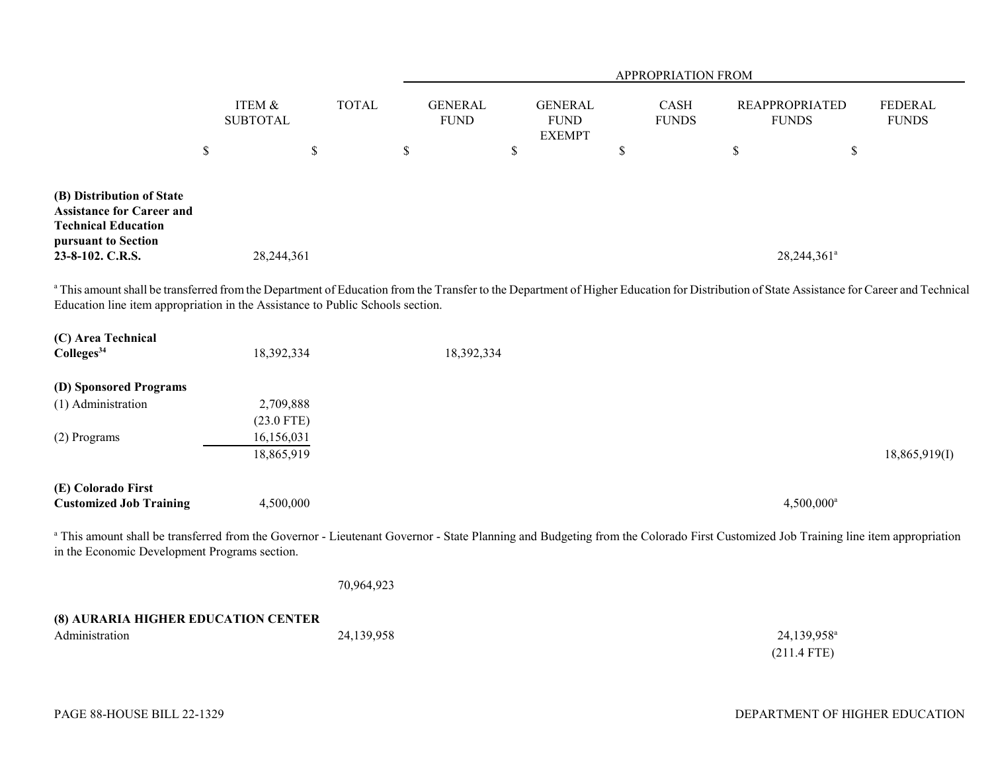|                                                                                                                                                                                                                                                                             |                           |              |                               |                                                | APPROPRIATION FROM   |                                       |                                |
|-----------------------------------------------------------------------------------------------------------------------------------------------------------------------------------------------------------------------------------------------------------------------------|---------------------------|--------------|-------------------------------|------------------------------------------------|----------------------|---------------------------------------|--------------------------------|
|                                                                                                                                                                                                                                                                             | ITEM &<br><b>SUBTOTAL</b> | <b>TOTAL</b> | <b>GENERAL</b><br><b>FUND</b> | <b>GENERAL</b><br><b>FUND</b><br><b>EXEMPT</b> | CASH<br><b>FUNDS</b> | <b>REAPPROPRIATED</b><br><b>FUNDS</b> | <b>FEDERAL</b><br><b>FUNDS</b> |
|                                                                                                                                                                                                                                                                             | $\boldsymbol{\mathsf{S}}$ | $\mathbb S$  | \$                            | \$                                             | \$                   | $\$$                                  | \$                             |
| (B) Distribution of State<br><b>Assistance for Career and</b><br><b>Technical Education</b><br>pursuant to Section<br>23-8-102. C.R.S.                                                                                                                                      | 28,244,361                |              |                               |                                                |                      | 28,244,361 <sup>a</sup>               |                                |
| a This amount shall be transferred from the Department of Education from the Transfer to the Department of Higher Education for Distribution of State Assistance for Career and Technical<br>Education line item appropriation in the Assistance to Public Schools section. |                           |              |                               |                                                |                      |                                       |                                |
| (C) Area Technical<br>Colleges <sup>34</sup>                                                                                                                                                                                                                                | 18,392,334                |              | 18,392,334                    |                                                |                      |                                       |                                |
| (D) Sponsored Programs                                                                                                                                                                                                                                                      |                           |              |                               |                                                |                      |                                       |                                |
| (1) Administration                                                                                                                                                                                                                                                          | 2,709,888                 |              |                               |                                                |                      |                                       |                                |
|                                                                                                                                                                                                                                                                             | $(23.0$ FTE)              |              |                               |                                                |                      |                                       |                                |
| (2) Programs                                                                                                                                                                                                                                                                | 16,156,031<br>18,865,919  |              |                               |                                                |                      |                                       | 18,865,919(I)                  |
| (E) Colorado First<br><b>Customized Job Training</b>                                                                                                                                                                                                                        | 4,500,000                 |              |                               |                                                |                      | $4,500,000^a$                         |                                |
| a This amount shall be transferred from the Governor - Lieutenant Governor - State Planning and Budgeting from the Colorado First Customized Job Training line item appropriation<br>in the Economic Development Programs section.                                          |                           |              |                               |                                                |                      |                                       |                                |
|                                                                                                                                                                                                                                                                             |                           | 70,964,923   |                               |                                                |                      |                                       |                                |
| (8) AURARIA HIGHER EDUCATION CENTER<br>Administration                                                                                                                                                                                                                       |                           | 24,139,958   |                               |                                                |                      | 24,139,958 <sup>a</sup>               |                                |
|                                                                                                                                                                                                                                                                             |                           |              |                               |                                                |                      | $(211.4$ FTE)                         |                                |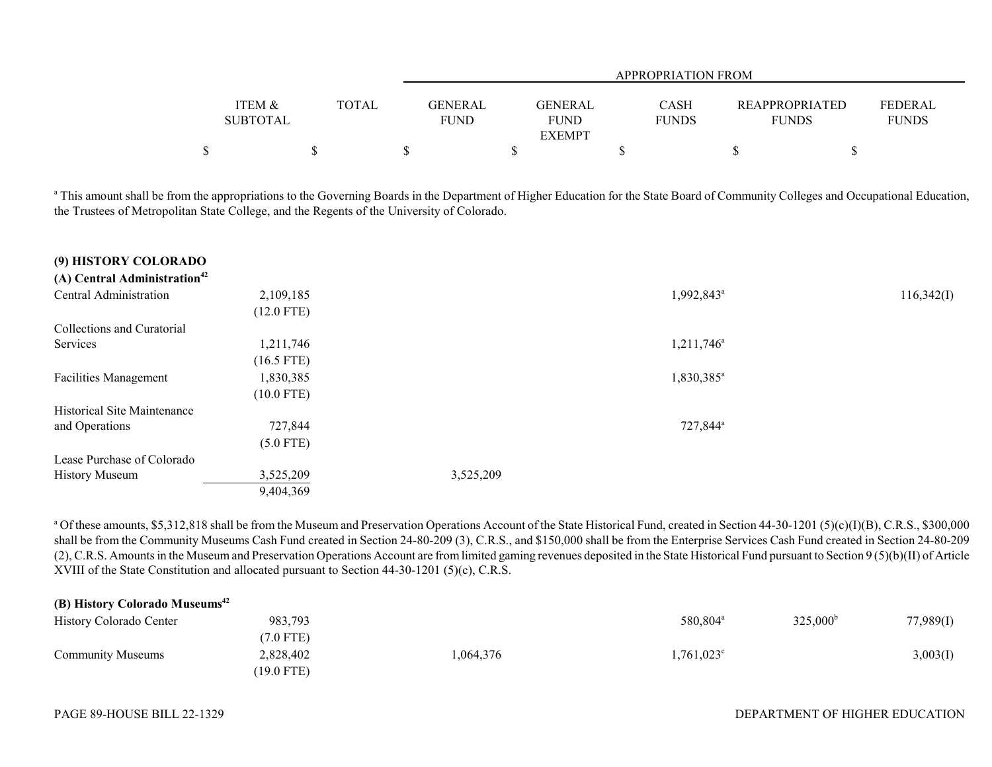|                 |       |             | APPROPRIATION FROM |              |                       |              |  |  |  |  |  |
|-----------------|-------|-------------|--------------------|--------------|-----------------------|--------------|--|--|--|--|--|
|                 |       |             |                    |              |                       |              |  |  |  |  |  |
| ITEM &          | TOTAL | GENERAL     | <b>GENERAL</b>     | <b>CASH</b>  | <b>REAPPROPRIATED</b> | FEDERAL      |  |  |  |  |  |
| <b>SUBTOTAL</b> |       | <b>FUND</b> | <b>FUND</b>        | <b>FUNDS</b> | <b>FUNDS</b>          | <b>FUNDS</b> |  |  |  |  |  |
|                 |       |             | <b>EXEMPT</b>      |              |                       |              |  |  |  |  |  |
| Φ               |       |             |                    |              |                       |              |  |  |  |  |  |

<sup>a</sup> This amount shall be from the appropriations to the Governing Boards in the Department of Higher Education for the State Board of Community Colleges and Occupational Education, the Trustees of Metropolitan State College, and the Regents of the University of Colorado.

| (9) HISTORY COLORADO                     |              |           |                        |            |
|------------------------------------------|--------------|-----------|------------------------|------------|
| (A) Central Administration <sup>42</sup> |              |           |                        |            |
| Central Administration                   | 2,109,185    |           | 1,992,843 <sup>a</sup> | 116,342(I) |
|                                          | $(12.0$ FTE) |           |                        |            |
| Collections and Curatorial               |              |           |                        |            |
| Services                                 | 1,211,746    |           | $1,211,746^a$          |            |
|                                          | $(16.5$ FTE) |           |                        |            |
| <b>Facilities Management</b>             | 1,830,385    |           | 1,830,385 <sup>a</sup> |            |
|                                          | $(10.0$ FTE) |           |                        |            |
| Historical Site Maintenance              |              |           |                        |            |
| and Operations                           | 727,844      |           | 727,844 <sup>a</sup>   |            |
|                                          | $(5.0$ FTE)  |           |                        |            |
| Lease Purchase of Colorado               |              |           |                        |            |
| <b>History Museum</b>                    | 3,525,209    | 3,525,209 |                        |            |
|                                          | 9,404,369    |           |                        |            |

<sup>a</sup> Of these amounts, \$5,312,818 shall be from the Museum and Preservation Operations Account of the State Historical Fund, created in Section 44-30-1201 (5)(c)(I)(B), C.R.S., \$300,000 shall be from the Community Museums Cash Fund created in Section 24-80-209 (3), C.R.S., and \$150,000 shall be from the Enterprise Services Cash Fund created in Section 24-80-209 (2), C.R.S. Amounts in the Museum and Preservation Operations Account are from limited gaming revenues deposited in the State Historical Fund pursuant to Section 9 (5)(b)(II) of Article XVIII of the State Constitution and allocated pursuant to Section 44-30-1201 (5)(c), C.R.S.

| (B) History Colorado Museums <sup>42</sup> |            |          |                      |                   |           |
|--------------------------------------------|------------|----------|----------------------|-------------------|-----------|
| History Colorado Center                    | 983,793    |          | 580,804 <sup>a</sup> | $325,000^{\rm b}$ | 77,989(1) |
|                                            | 7.0 FTE)   |          |                      |                   |           |
| <b>Community Museums</b>                   | 2,828,402  | ,064,376 | $1,761,023^{\circ}$  |                   | 3,003(I)  |
|                                            | (19.0 FTE) |          |                      |                   |           |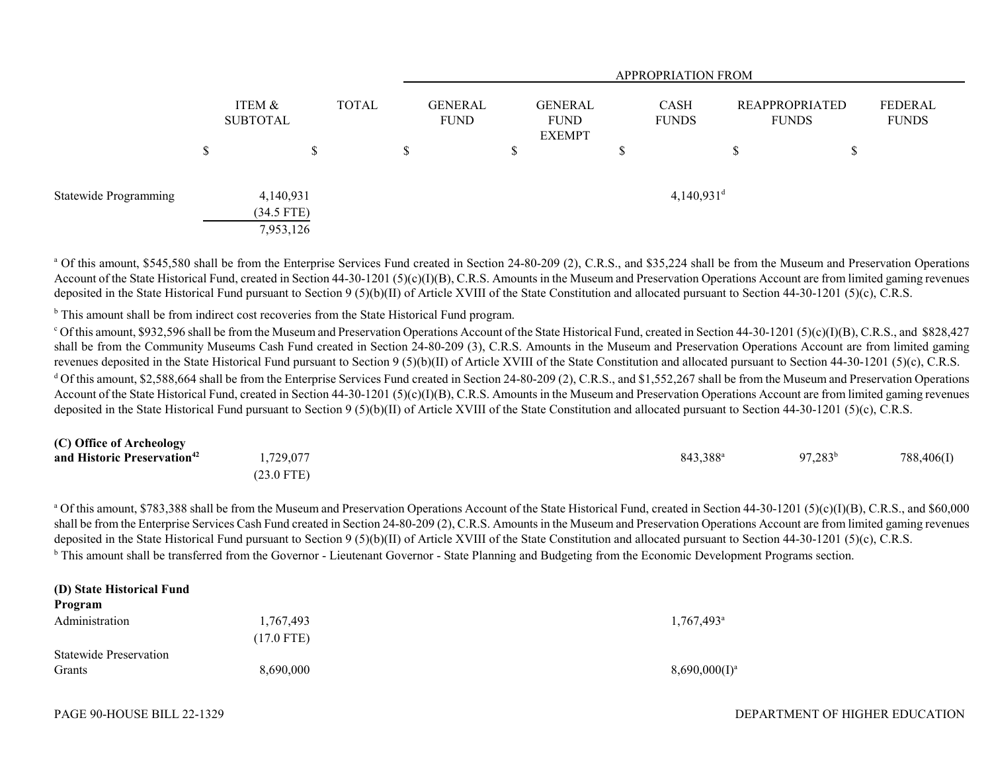|                       |    |                                        |       |               | <b>APPROPRIATION FROM</b> |   |                                                |    |                             |    |                                |                         |
|-----------------------|----|----------------------------------------|-------|---------------|---------------------------|---|------------------------------------------------|----|-----------------------------|----|--------------------------------|-------------------------|
|                       |    | ITEM &<br><b>SUBTOTAL</b>              | TOTAL |               | GENERAL<br><b>FUND</b>    |   | <b>GENERAL</b><br><b>FUND</b><br><b>EXEMPT</b> |    | <b>CASH</b><br><b>FUNDS</b> |    | REAPPROPRIATED<br><b>FUNDS</b> | FEDERAL<br><b>FUNDS</b> |
|                       | ۰D | ¢<br>D                                 |       | <sup>\$</sup> |                           | S |                                                | ۰υ |                             | ۰D | \$                             |                         |
| Statewide Programming |    | 4,140,931<br>$(34.5$ FTE)<br>7,953,126 |       |               |                           |   |                                                |    | $4,140,931$ <sup>d</sup>    |    |                                |                         |

<sup>a</sup> Of this amount, \$545,580 shall be from the Enterprise Services Fund created in Section 24-80-209 (2), C.R.S., and \$35,224 shall be from the Museum and Preservation Operations Account of the State Historical Fund, created in Section 44-30-1201 (5)(c)(I)(B), C.R.S. Amounts in the Museum and Preservation Operations Account are from limited gaming revenues deposited in the State Historical Fund pursuant to Section 9 (5)(b)(II) of Article XVIII of the State Constitution and allocated pursuant to Section 44-30-1201 (5)(c), C.R.S.

<sup>b</sup> This amount shall be from indirect cost recoveries from the State Historical Fund program.

 $\degree$  Of this amount, \$932,596 shall be from the Museum and Preservation Operations Account of the State Historical Fund, created in Section 44-30-1201 (5)(c)(I)(B), C.R.S., and \$828,427 shall be from the Community Museums Cash Fund created in Section 24-80-209 (3), C.R.S. Amounts in the Museum and Preservation Operations Account are from limited gaming revenues deposited in the State Historical Fund pursuant to Section 9 (5)(b)(II) of Article XVIII of the State Constitution and allocated pursuant to Section 44-30-1201 (5)(c), C.R.S. <sup>d</sup> Of this amount, \$2,588,664 shall be from the Enterprise Services Fund created in Section 24-80-209 (2), C.R.S., and \$1,552,267 shall be from the Museum and Preservation Operations Account of the State Historical Fund, created in Section 44-30-1201 (5)(c)(I)(B), C.R.S. Amounts in the Museum and Preservation Operations Account are from limited gaming revenues deposited in the State Historical Fund pursuant to Section 9 (5)(b)(II) of Article XVIII of the State Constitution and allocated pursuant to Section 44-30-1201 (5)(c), C.R.S.

| (C) Office of Archeology                |              |                      |                  |            |
|-----------------------------------------|--------------|----------------------|------------------|------------|
| and Historic Preservation <sup>42</sup> | ,729,077     | 843,388 <sup>a</sup> | $97,283^{\rm b}$ | 788,406(I) |
|                                         | $(23.0$ FTE) |                      |                  |            |

<sup>a</sup> Of this amount, \$783,388 shall be from the Museum and Preservation Operations Account of the State Historical Fund, created in Section 44-30-1201 (5)(c)(I)(B), C.R.S., and \$60,000 shall be from the Enterprise Services Cash Fund created in Section 24-80-209 (2), C.R.S. Amounts in the Museum and Preservation Operations Account are from limited gaming revenues deposited in the State Historical Fund pursuant to Section 9 (5)(b)(II) of Article XVIII of the State Constitution and allocated pursuant to Section 44-30-1201 (5)(c), C.R.S. <sup>b</sup> This amount shall be transferred from the Governor - Lieutenant Governor - State Planning and Budgeting from the Economic Development Programs section.

| (D) State Historical Fund<br>Program |                      |                          |
|--------------------------------------|----------------------|--------------------------|
| Administration                       | 1,767,493            | $1,767,493$ <sup>a</sup> |
|                                      | $(17.0 \text{ FTE})$ |                          |
| <b>Statewide Preservation</b>        |                      |                          |
| Grants                               | 8,690,000            | $8,690,000(1)^a$         |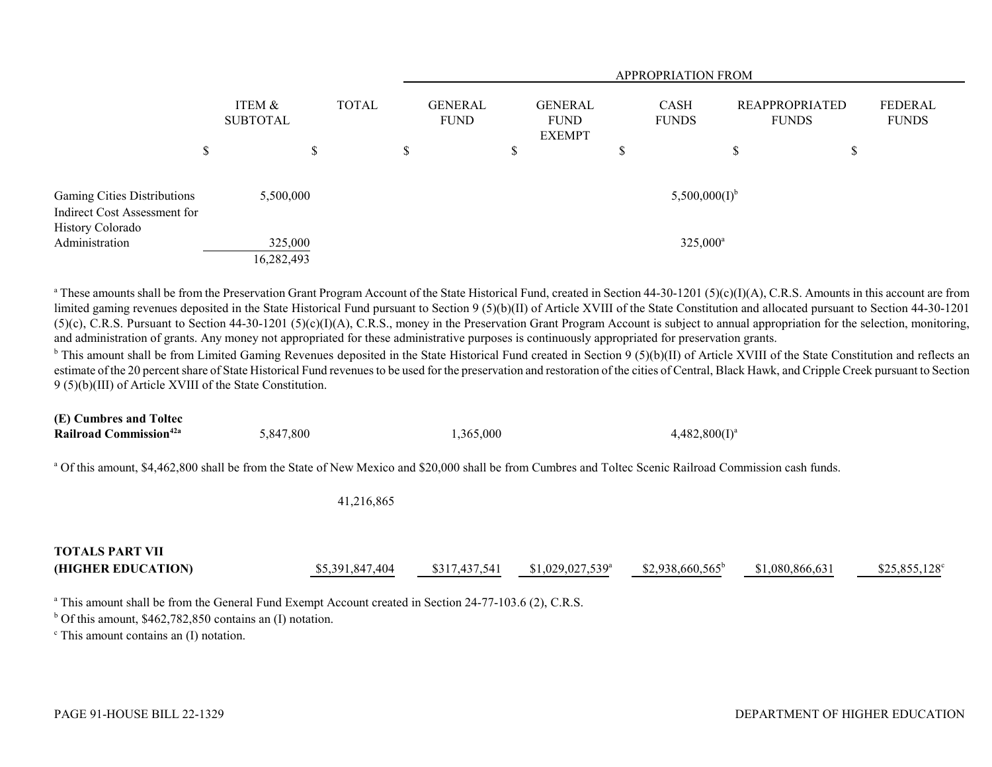|                                                                                                   |                                    |              |                               | <b>APPROPRIATION FROM</b>                      |                                         |                                       |                         |  |  |
|---------------------------------------------------------------------------------------------------|------------------------------------|--------------|-------------------------------|------------------------------------------------|-----------------------------------------|---------------------------------------|-------------------------|--|--|
|                                                                                                   | ITEM &<br><b>SUBTOTAL</b>          | <b>TOTAL</b> | <b>GENERAL</b><br><b>FUND</b> | <b>GENERAL</b><br><b>FUND</b><br><b>EXEMPT</b> | <b>CASH</b><br><b>FUNDS</b>             | <b>REAPPROPRIATED</b><br><b>FUNDS</b> | FEDERAL<br><b>FUNDS</b> |  |  |
|                                                                                                   | S                                  | \$           | D                             | \$                                             | \$                                      | ึ<br>J.                               | \$                      |  |  |
| Gaming Cities Distributions<br>Indirect Cost Assessment for<br>History Colorado<br>Administration | 5,500,000<br>325,000<br>16,282,493 |              |                               |                                                | $5,500,000(I)^{b}$<br>$325,000^{\circ}$ |                                       |                         |  |  |

<sup>a</sup> These amounts shall be from the Preservation Grant Program Account of the State Historical Fund, created in Section 44-30-1201 (5)(c)(I)(A), C.R.S. Amounts in this account are from limited gaming revenues deposited in the State Historical Fund pursuant to Section 9 (5)(b)(II) of Article XVIII of the State Constitution and allocated pursuant to Section 44-30-1201 (5)(c), C.R.S. Pursuant to Section 44-30-1201 (5)(c)(I)(A), C.R.S., money in the Preservation Grant Program Account is subject to annual appropriation for the selection, monitoring, and administration of grants. Any money not appropriated for these administrative purposes is continuously appropriated for preservation grants.

<sup>b</sup> This amount shall be from Limited Gaming Revenues deposited in the State Historical Fund created in Section 9 (5)(b)(II) of Article XVIII of the State Constitution and reflects an estimate of the 20 percent share of State Historical Fund revenues to be used for the preservation and restoration of the cities of Central, Black Hawk, and Cripple Creek pursuant to Section 9 (5)(b)(III) of Article XVIII of the State Constitution.

| (E) Cumbres and Toltec                    |           |           |                  |
|-------------------------------------------|-----------|-----------|------------------|
| <b>Railroad Commission</b> <sup>42a</sup> | 5.847.800 | 1.365.000 | $4.482.800(I)^a$ |

<sup>a</sup> Of this amount, \$4,462,800 shall be from the State of New Mexico and \$20,000 shall be from Cumbres and Toltec Scenic Railroad Commission cash funds.

41,216,865

| <b>TOTALS PART VII</b> |                 |               |                               |                          |                 |                       |
|------------------------|-----------------|---------------|-------------------------------|--------------------------|-----------------|-----------------------|
| (HIGHER EDUCATION)     | \$5,391,847,404 | \$317,437,541 | $$1,029,027,539$ <sup>a</sup> | $$2,938,660,565^{\circ}$ | \$1,080,866,631 | $$25,855,128^{\circ}$ |

<sup>a</sup> This amount shall be from the General Fund Exempt Account created in Section 24-77-103.6 (2), C.R.S.

 $b$  Of this amount, \$462,782,850 contains an (I) notation.

 $\degree$  This amount contains an (I) notation.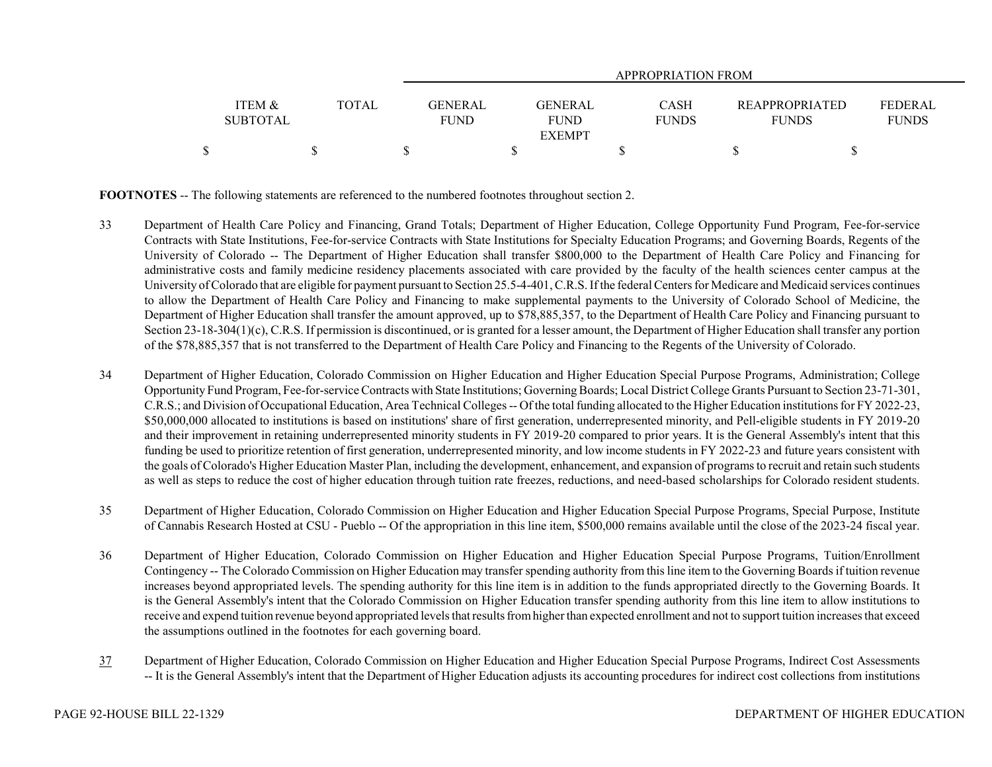|                                      |              | APPROPRIATION FROM            |                        |                             |                                       |                                |  |
|--------------------------------------|--------------|-------------------------------|------------------------|-----------------------------|---------------------------------------|--------------------------------|--|
|                                      |              |                               |                        |                             |                                       |                                |  |
| <b>ITEM &amp;</b><br><b>SUBTOTAL</b> | <b>TOTAL</b> | <b>GENERAL</b><br><b>FUND</b> | GENERAL<br><b>FUND</b> | <b>CASH</b><br><b>FUNDS</b> | <b>REAPPROPRIATED</b><br><b>FUNDS</b> | <b>FEDERAL</b><br><b>FUNDS</b> |  |
|                                      |              |                               | <b>EXEMPT</b>          |                             |                                       |                                |  |
|                                      |              |                               |                        |                             |                                       |                                |  |

**FOOTNOTES** -- The following statements are referenced to the numbered footnotes throughout section 2.

- 33 Department of Health Care Policy and Financing, Grand Totals; Department of Higher Education, College Opportunity Fund Program, Fee-for-service Contracts with State Institutions, Fee-for-service Contracts with State Institutions for Specialty Education Programs; and Governing Boards, Regents of the University of Colorado -- The Department of Higher Education shall transfer \$800,000 to the Department of Health Care Policy and Financing for administrative costs and family medicine residency placements associated with care provided by the faculty of the health sciences center campus at the University of Colorado that are eligible for payment pursuant to Section 25.5-4-401, C.R.S. If the federal Centers for Medicare and Medicaid services continues to allow the Department of Health Care Policy and Financing to make supplemental payments to the University of Colorado School of Medicine, the Department of Higher Education shall transfer the amount approved, up to \$78,885,357, to the Department of Health Care Policy and Financing pursuant to Section 23-18-304(1)(c), C.R.S. If permission is discontinued, or is granted for a lesser amount, the Department of Higher Education shall transfer any portion of the \$78,885,357 that is not transferred to the Department of Health Care Policy and Financing to the Regents of the University of Colorado.
- 34 Department of Higher Education, Colorado Commission on Higher Education and Higher Education Special Purpose Programs, Administration; College Opportunity Fund Program, Fee-for-service Contracts with State Institutions; Governing Boards; Local District College Grants Pursuant to Section 23-71-301, C.R.S.; and Division of Occupational Education, Area Technical Colleges -- Of the total funding allocated to the Higher Education institutions for FY 2022-23, \$50,000,000 allocated to institutions is based on institutions' share of first generation, underrepresented minority, and Pell-eligible students in FY 2019-20 and their improvement in retaining underrepresented minority students in FY 2019-20 compared to prior years. It is the General Assembly's intent that this funding be used to prioritize retention of first generation, underrepresented minority, and low income students in FY 2022-23 and future years consistent with the goals of Colorado's Higher Education Master Plan, including the development, enhancement, and expansion of programs to recruit and retain such students as well as steps to reduce the cost of higher education through tuition rate freezes, reductions, and need-based scholarships for Colorado resident students.
- 35 Department of Higher Education, Colorado Commission on Higher Education and Higher Education Special Purpose Programs, Special Purpose, Institute of Cannabis Research Hosted at CSU - Pueblo -- Of the appropriation in this line item, \$500,000 remains available until the close of the 2023-24 fiscal year.
- 36 Department of Higher Education, Colorado Commission on Higher Education and Higher Education Special Purpose Programs, Tuition/Enrollment Contingency -- The Colorado Commission on Higher Education may transfer spending authority from this line item to the Governing Boards if tuition revenue increases beyond appropriated levels. The spending authority for this line item is in addition to the funds appropriated directly to the Governing Boards. It is the General Assembly's intent that the Colorado Commission on Higher Education transfer spending authority from this line item to allow institutions to receive and expend tuition revenue beyond appropriated levels that results from higher than expected enrollment and not to support tuition increases that exceed the assumptions outlined in the footnotes for each governing board.
- 37 Department of Higher Education, Colorado Commission on Higher Education and Higher Education Special Purpose Programs, Indirect Cost Assessments -- It is the General Assembly's intent that the Department of Higher Education adjusts its accounting procedures for indirect cost collections from institutions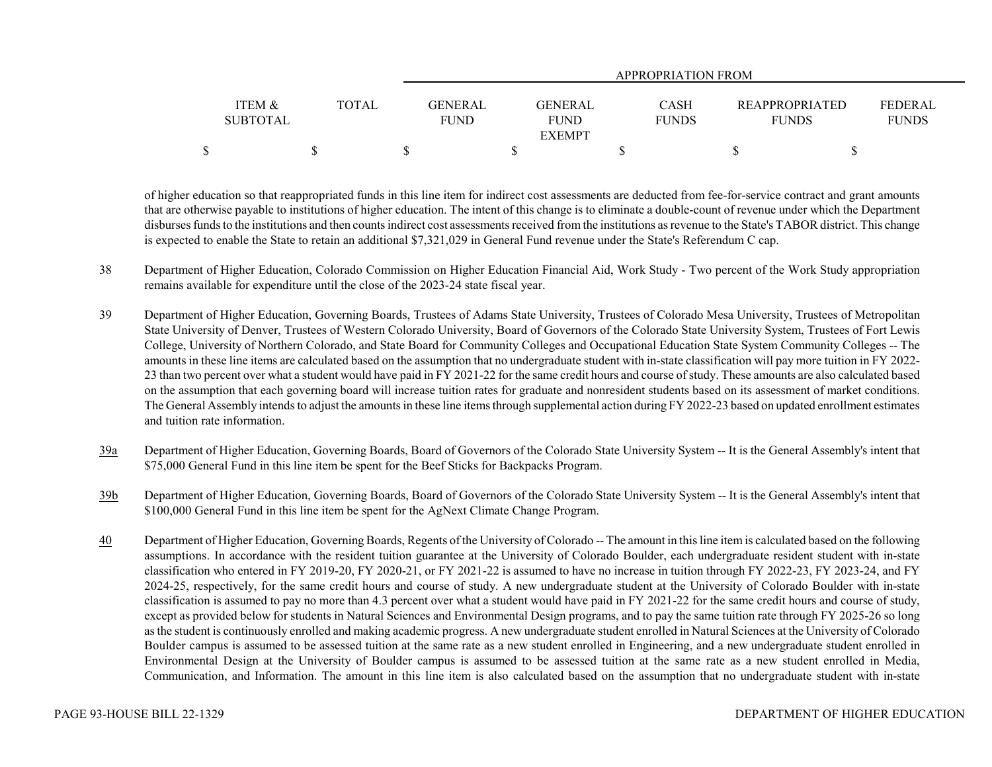|                 |       | APPROPRIATION FROM |                |              |                       |                |  |
|-----------------|-------|--------------------|----------------|--------------|-----------------------|----------------|--|
|                 |       |                    |                |              |                       |                |  |
| ITEM &          | TOTAL | GENERAL            | <b>GENERAL</b> | CASH         | <b>REAPPROPRIATED</b> | <b>FEDERAL</b> |  |
| <b>SUBTOTAL</b> |       | <b>FUND</b>        | <b>FUND</b>    | <b>FUNDS</b> | <b>FUNDS</b>          | <b>FUNDS</b>   |  |
|                 |       |                    | <b>EXEMPT</b>  |              |                       |                |  |
|                 |       |                    |                |              |                       |                |  |

of higher education so that reappropriated funds in this line item for indirect cost assessments are deducted from fee-for-service contract and grant amounts that are otherwise payable to institutions of higher education. The intent of this change is to eliminate a double-count of revenue under which the Department disburses funds to the institutions and then counts indirect cost assessments received from the institutions as revenue to the State's TABOR district. This change is expected to enable the State to retain an additional \$7,321,029 in General Fund revenue under the State's Referendum C cap.

- 38 Department of Higher Education, Colorado Commission on Higher Education Financial Aid, Work Study Two percent of the Work Study appropriation remains available for expenditure until the close of the 2023-24 state fiscal year.
- 39 Department of Higher Education, Governing Boards, Trustees of Adams State University, Trustees of Colorado Mesa University, Trustees of Metropolitan State University of Denver, Trustees of Western Colorado University, Board of Governors of the Colorado State University System, Trustees of Fort Lewis College, University of Northern Colorado, and State Board for Community Colleges and Occupational Education State System Community Colleges -- The amounts in these line items are calculated based on the assumption that no undergraduate student with in-state classification will pay more tuition in FY 2022- 23 than two percent over what a student would have paid in FY 2021-22 for the same credit hours and course of study. These amounts are also calculated based on the assumption that each governing board will increase tuition rates for graduate and nonresident students based on its assessment of market conditions. The General Assembly intends to adjust the amounts in these line items through supplemental action during FY 2022-23 based on updated enrollment estimates and tuition rate information.
- 39a Department of Higher Education, Governing Boards, Board of Governors of the Colorado State University System -- It is the General Assembly's intent that \$75,000 General Fund in this line item be spent for the Beef Sticks for Backpacks Program.
- 39b Department of Higher Education, Governing Boards, Board of Governors of the Colorado State University System -- It is the General Assembly's intent that \$100,000 General Fund in this line item be spent for the AgNext Climate Change Program.
- 40 Department of Higher Education, Governing Boards, Regents of the University of Colorado -- The amount in this line item is calculated based on the following assumptions. In accordance with the resident tuition guarantee at the University of Colorado Boulder, each undergraduate resident student with in-state classification who entered in FY 2019-20, FY 2020-21, or FY 2021-22 is assumed to have no increase in tuition through FY 2022-23, FY 2023-24, and FY 2024-25, respectively, for the same credit hours and course of study. A new undergraduate student at the University of Colorado Boulder with in-state classification is assumed to pay no more than 4.3 percent over what a student would have paid in FY 2021-22 for the same credit hours and course of study, except as provided below for students in Natural Sciences and Environmental Design programs, and to pay the same tuition rate through FY 2025-26 so long as the student is continuously enrolled and making academic progress. A new undergraduate student enrolled in Natural Sciences at the University of Colorado Boulder campus is assumed to be assessed tuition at the same rate as a new student enrolled in Engineering, and a new undergraduate student enrolled in Environmental Design at the University of Boulder campus is assumed to be assessed tuition at the same rate as a new student enrolled in Media, Communication, and Information. The amount in this line item is also calculated based on the assumption that no undergraduate student with in-state